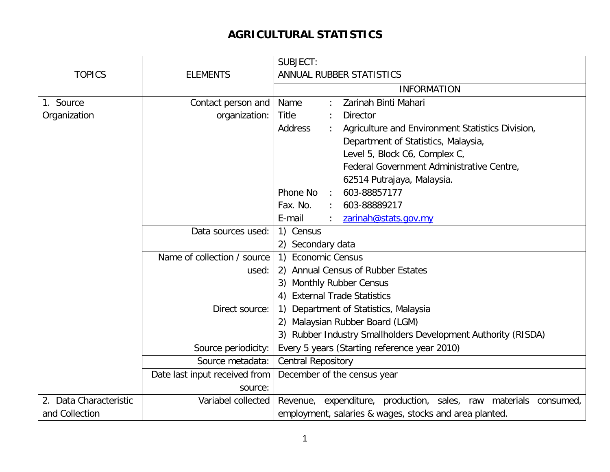## **AGRICULTURAL STATISTICS**

|                        |                               | SUBJECT:                                                                             |
|------------------------|-------------------------------|--------------------------------------------------------------------------------------|
| <b>TOPICS</b>          | <b>ELEMENTS</b>               | ANNUAL RUBBER STATISTICS                                                             |
|                        |                               | <b>INFORMATION</b>                                                                   |
| 1. Source              | Contact person and            | Zarinah Binti Mahari<br>Name                                                         |
| Organization           | organization:                 | <b>Title</b><br><b>Director</b>                                                      |
|                        |                               | <b>Address</b><br>Agriculture and Environment Statistics Division,                   |
|                        |                               | Department of Statistics, Malaysia,                                                  |
|                        |                               | Level 5, Block C6, Complex C,                                                        |
|                        |                               | Federal Government Administrative Centre,                                            |
|                        |                               | 62514 Putrajaya, Malaysia.                                                           |
|                        |                               | 603-88857177<br>Phone No<br>÷                                                        |
|                        |                               | Fax. No.<br>603-88889217                                                             |
|                        |                               | E-mail<br>zarinah@stats.gov.my                                                       |
|                        | Data sources used:            | 1) Census                                                                            |
|                        |                               | 2) Secondary data                                                                    |
|                        | Name of collection / source   | <b>Economic Census</b><br>$\left( \begin{matrix} 1 \end{matrix} \right)$             |
|                        | used:                         | 2) Annual Census of Rubber Estates                                                   |
|                        |                               | 3) Monthly Rubber Census                                                             |
|                        |                               | <b>External Trade Statistics</b><br>4)                                               |
|                        | Direct source:                | Department of Statistics, Malaysia<br>$\left( \begin{matrix} 1 \end{matrix} \right)$ |
|                        |                               | 2) Malaysian Rubber Board (LGM)                                                      |
|                        |                               | 3) Rubber Industry Smallholders Development Authority (RISDA)                        |
|                        | Source periodicity:           | Every 5 years (Starting reference year 2010)                                         |
|                        | Source metadata:              | <b>Central Repository</b>                                                            |
|                        | Date last input received from | December of the census year                                                          |
|                        | source:                       |                                                                                      |
| 2. Data Characteristic | Variabel collected            | Revenue, expenditure, production, sales, raw materials consumed,                     |
| and Collection         |                               | employment, salaries & wages, stocks and area planted.                               |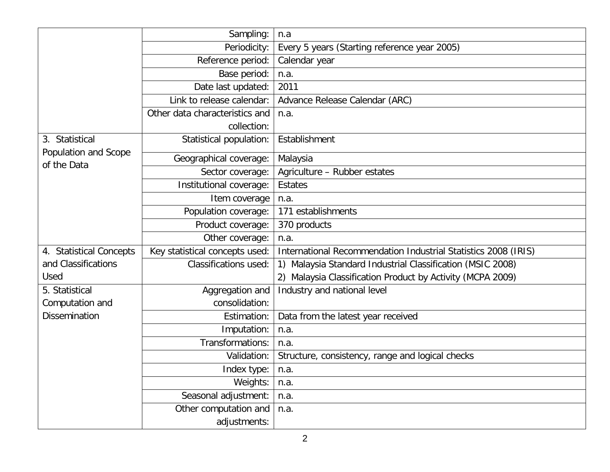|                                     | Sampling:                      | n.a                                                                                                       |
|-------------------------------------|--------------------------------|-----------------------------------------------------------------------------------------------------------|
|                                     | Periodicity:                   | Every 5 years (Starting reference year 2005)                                                              |
|                                     | Reference period:              | Calendar year                                                                                             |
|                                     | Base period:                   | n.a.                                                                                                      |
|                                     | Date last updated:             | 2011                                                                                                      |
|                                     | Link to release calendar:      | Advance Release Calendar (ARC)                                                                            |
|                                     | Other data characteristics and | n.a.                                                                                                      |
|                                     | collection:                    |                                                                                                           |
| 3. Statistical                      | Statistical population:        | Establishment                                                                                             |
| Population and Scope<br>of the Data | Geographical coverage:         | Malaysia                                                                                                  |
|                                     | Sector coverage:               | Agriculture - Rubber estates                                                                              |
|                                     | Institutional coverage:        | <b>Estates</b>                                                                                            |
|                                     | Item coverage                  | n.a.                                                                                                      |
|                                     | Population coverage:           | 171 establishments                                                                                        |
|                                     | Product coverage:              | 370 products                                                                                              |
|                                     | Other coverage:                | n.a.                                                                                                      |
| 4. Statistical Concepts             | Key statistical concepts used: | International Recommendation Industrial Statistics 2008 (IRIS)                                            |
| and Classifications                 | <b>Classifications used:</b>   | Malaysia Standard Industrial Classification (MSIC 2008)<br>$\left( \begin{matrix} 1 \end{matrix} \right)$ |
| Used                                |                                | 2) Malaysia Classification Product by Activity (MCPA 2009)                                                |
| 5. Statistical                      | Aggregation and                | Industry and national level                                                                               |
| Computation and                     | consolidation:                 |                                                                                                           |
| <b>Dissemination</b>                | Estimation:                    | Data from the latest year received                                                                        |
|                                     | Imputation:                    | n.a.                                                                                                      |
|                                     | Transformations:               | n.a.                                                                                                      |
|                                     | Validation:                    | Structure, consistency, range and logical checks                                                          |
|                                     | Index type:                    | n.a.                                                                                                      |
|                                     | Weights:                       | n.a.                                                                                                      |
|                                     | Seasonal adjustment:           | n.a.                                                                                                      |
|                                     | Other computation and          | n.a.                                                                                                      |
|                                     | adjustments:                   |                                                                                                           |